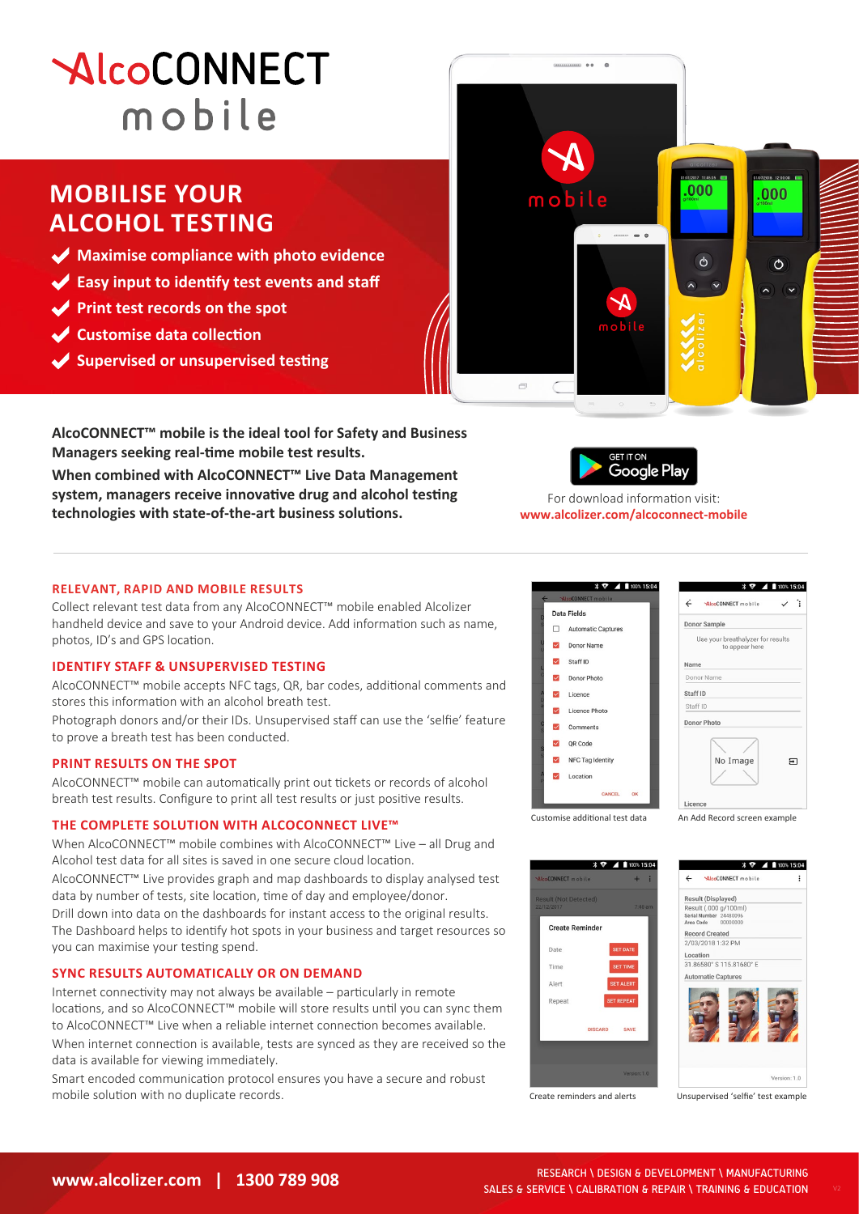# **AlcoCONNECT** mobile

# **MOBILISE YOUR ALCOHOL TESTING**

- **Maximise compliance with photo evidence**
- **Easy input to identify test events and staff**
- **Print test records on the spot**
- **Customise data collection**
- **Supervised or unsupervised testing**



**AlcoCONNECT™ mobile is the ideal tool for Safety and Business Managers seeking real-time mobile test results.** 

**When combined with AlcoCONNECT™ Live Data Management system, managers receive innovative drug and alcohol testing technologies with state-of-the-art business solutions.**



For download information visit: **www.alcolizer.com/alcoconnect-mobile**

### **RELEVANT, RAPID AND MOBILE RESULTS**

Collect relevant test data from any AlcoCONNECT™ mobile enabled Alcolizer handheld device and save to your Android device. Add information such as name, photos, ID's and GPS location.

# **IDENTIFY STAFF & UNSUPERVISED TESTING**

AlcoCONNECT™ mobile accepts NFC tags, QR, bar codes, additional comments and stores this information with an alcohol breath test.

Photograph donors and/or their IDs. Unsupervised staff can use the 'selfie' feature to prove a breath test has been conducted.

#### **PRINT RESULTS ON THE SPOT**

AlcoCONNECT™ mobile can automatically print out tickets or records of alcohol breath test results. Configure to print all test results or just positive results.

#### **THE COMPLETE SOLUTION WITH ALCOCONNECT LIVE™**

When AlcoCONNECT™ mobile combines with AlcoCONNECT™ Live – all Drug and Alcohol test data for all sites is saved in one secure cloud location.

AlcoCONNECT™ Live provides graph and map dashboards to display analysed test data by number of tests, site location, time of day and employee/donor.

Drill down into data on the dashboards for instant access to the original results. The Dashboard helps to identify hot spots in your business and target resources so you can maximise your testing spend.

# **SYNC RESULTS AUTOMATICALLY OR ON DEMAND**

Internet connectivity may not always be available – particularly in remote locations, and so AlcoCONNECT™ mobile will store results until you can sync them to AlcoCONNECT™ Live when a reliable internet connection becomes available. When internet connection is available, tests are synced as they are received so the data is available for viewing immediately.

Smart encoded communication protocol ensures you have a secure and robust mobile solution with no duplicate records.





An Add Record screen example

 $\Box$ 



Create reminders and alerts

Unsupervised 'selfie' test example